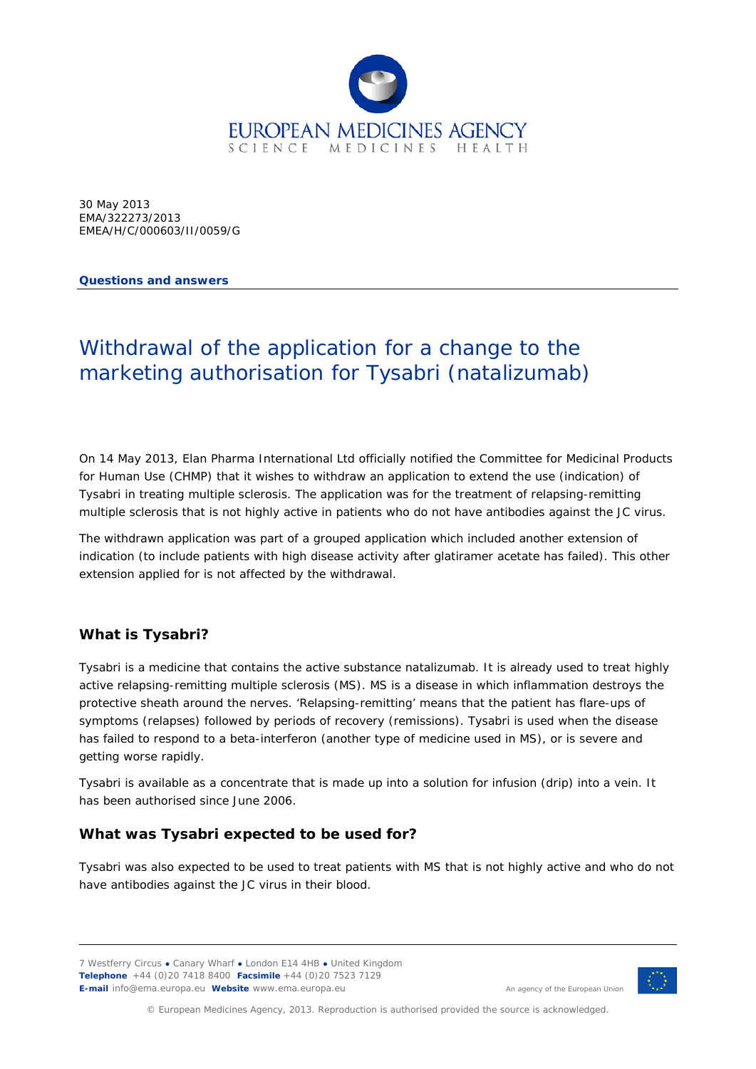

30 May 2013 EMA/322273/2013 EMEA/H/C/000603/II/0059/G

**Questions and answers**

# Withdrawal of the application for a change to the marketing authorisation for Tysabri (natalizumab)

On 14 May 2013, Elan Pharma International Ltd officially notified the Committee for Medicinal Products for Human Use (CHMP) that it wishes to withdraw an application to extend the use (indication) of Tysabri in treating multiple sclerosis. The application was for the treatment of relapsing-remitting multiple sclerosis that is not highly active in patients who do not have antibodies against the JC virus.

The withdrawn application was part of a grouped application which included another extension of indication (to include patients with high disease activity after glatiramer acetate has failed). This other extension applied for is not affected by the withdrawal.

## **What is Tysabri?**

Tysabri is a medicine that contains the active substance natalizumab. It is already used to treat highly active relapsing-remitting multiple sclerosis (MS). MS is a disease in which inflammation destroys the protective sheath around the nerves. 'Relapsing-remitting' means that the patient has flare-ups of symptoms (relapses) followed by periods of recovery (remissions). Tysabri is used when the disease has failed to respond to a beta-interferon (another type of medicine used in MS), or is severe and getting worse rapidly.

Tysabri is available as a concentrate that is made up into a solution for infusion (drip) into a vein. It has been authorised since June 2006.

## **What was Tysabri expected to be used for?**

Tysabri was also expected to be used to treat patients with MS that is not highly active and who do not have antibodies against the JC virus in their blood.

7 Westferry Circus **●** Canary Wharf **●** London E14 4HB **●** United Kingdom **Telephone** +44 (0)20 7418 8400 **Facsimile** +44 (0)20 7523 7129 **E-mail** info@ema.europa.eu **Website** www.ema.europa.eu



An agency of the European Union

© European Medicines Agency, 2013. Reproduction is authorised provided the source is acknowledged.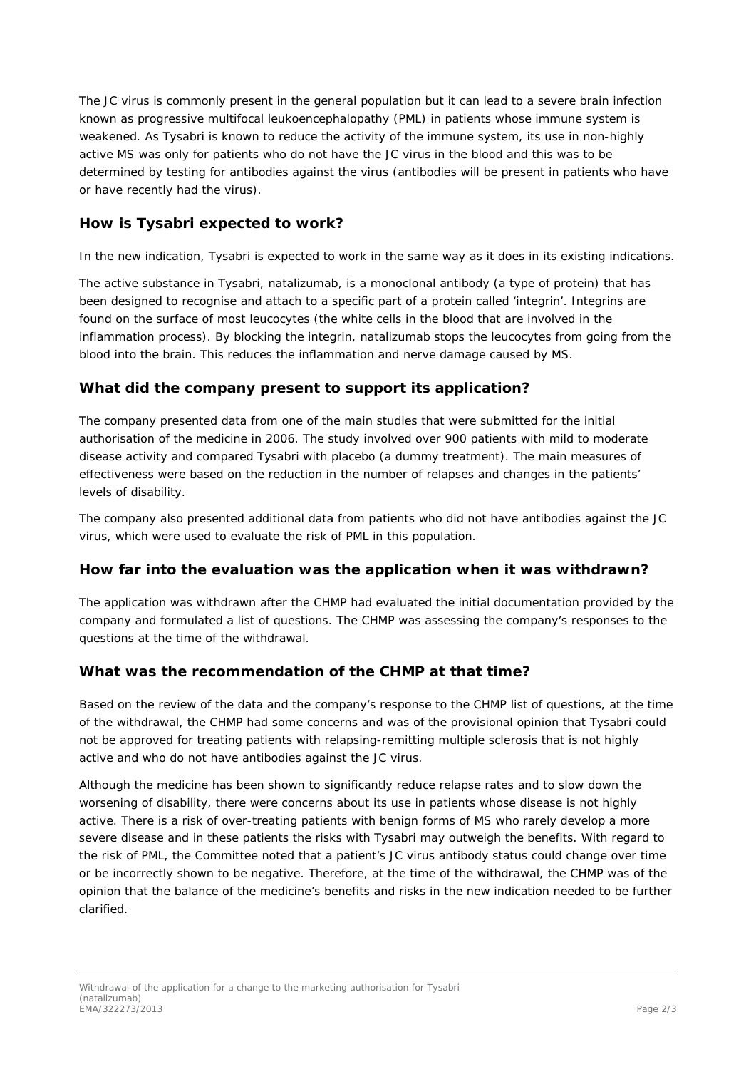The JC virus is commonly present in the general population but it can lead to a severe brain infection known as progressive multifocal leukoencephalopathy (PML) in patients whose immune system is weakened. As Tysabri is known to reduce the activity of the immune system, its use in non-highly active MS was only for patients who do not have the JC virus in the blood and this was to be determined by testing for antibodies against the virus (antibodies will be present in patients who have or have recently had the virus).

## **How is Tysabri expected to work?**

In the new indication, Tysabri is expected to work in the same way as it does in its existing indications.

The active substance in Tysabri, natalizumab, is a monoclonal antibody (a type of protein) that has been designed to recognise and attach to a specific part of a protein called 'integrin'. Integrins are found on the surface of most leucocytes (the white cells in the blood that are involved in the inflammation process). By blocking the integrin, natalizumab stops the leucocytes from going from the blood into the brain. This reduces the inflammation and nerve damage caused by MS.

#### **What did the company present to support its application?**

The company presented data from one of the main studies that were submitted for the initial authorisation of the medicine in 2006. The study involved over 900 patients with mild to moderate disease activity and compared Tysabri with placebo (a dummy treatment). The main measures of effectiveness were based on the reduction in the number of relapses and changes in the patients' levels of disability.

The company also presented additional data from patients who did not have antibodies against the JC virus, which were used to evaluate the risk of PML in this population.

#### **How far into the evaluation was the application when it was withdrawn?**

The application was withdrawn after the CHMP had evaluated the initial documentation provided by the company and formulated a list of questions. The CHMP was assessing the company's responses to the questions at the time of the withdrawal.

#### **What was the recommendation of the CHMP at that time?**

Based on the review of the data and the company's response to the CHMP list of questions, at the time of the withdrawal, the CHMP had some concerns and was of the provisional opinion that Tysabri could not be approved for treating patients with relapsing-remitting multiple sclerosis that is not highly active and who do not have antibodies against the JC virus.

Although the medicine has been shown to significantly reduce relapse rates and to slow down the worsening of disability, there were concerns about its use in patients whose disease is not highly active. There is a risk of over-treating patients with benign forms of MS who rarely develop a more severe disease and in these patients the risks with Tysabri may outweigh the benefits. With regard to the risk of PML, the Committee noted that a patient's JC virus antibody status could change over time or be incorrectly shown to be negative. Therefore, at the time of the withdrawal, the CHMP was of the opinion that the balance of the medicine's benefits and risks in the new indication needed to be further clarified.